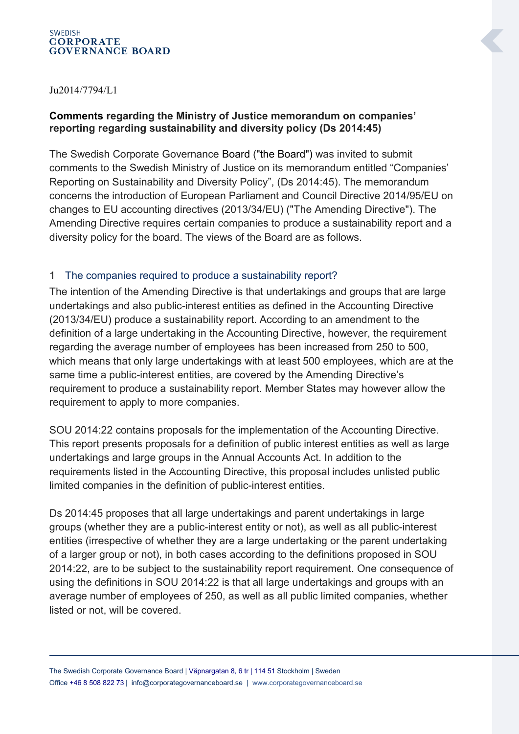#### **SWEDISH CORPORATE GOVERNANCE BOARD**

#### Ju2014/7794/L1

# **Comments regarding the Ministry of Justice memorandum on companies' reporting regarding sustainability and diversity policy (Ds 2014:45)**

The Swedish Corporate Governance Board ("the Board") was invited to submit comments to the Swedish Ministry of Justice on its memorandum entitled "Companies' Reporting on Sustainability and Diversity Policy", (Ds 2014:45). The memorandum concerns the introduction of European Parliament and Council Directive 2014/95/EU on changes to EU accounting directives (2013/34/EU) ("The Amending Directive"). The Amending Directive requires certain companies to produce a sustainability report and a diversity policy for the board. The views of the Board are as follows.

#### 1 The companies required to produce a sustainability report?

The intention of the Amending Directive is that undertakings and groups that are large undertakings and also public-interest entities as defined in the Accounting Directive (2013/34/EU) produce a sustainability report. According to an amendment to the definition of a large undertaking in the Accounting Directive, however, the requirement regarding the average number of employees has been increased from 250 to 500, which means that only large undertakings with at least 500 employees, which are at the same time a public-interest entities, are covered by the Amending Directive's requirement to produce a sustainability report. Member States may however allow the requirement to apply to more companies.

SOU 2014:22 contains proposals for the implementation of the Accounting Directive. This report presents proposals for a definition of public interest entities as well as large undertakings and large groups in the Annual Accounts Act. In addition to the requirements listed in the Accounting Directive, this proposal includes unlisted public limited companies in the definition of public-interest entities.

Ds 2014:45 proposes that all large undertakings and parent undertakings in large groups (whether they are a public-interest entity or not), as well as all public-interest entities (irrespective of whether they are a large undertaking or the parent undertaking of a larger group or not), in both cases according to the definitions proposed in SOU 2014:22, are to be subject to the sustainability report requirement. One consequence of using the definitions in SOU 2014:22 is that all large undertakings and groups with an average number of employees of 250, as well as all public limited companies, whether listed or not, will be covered.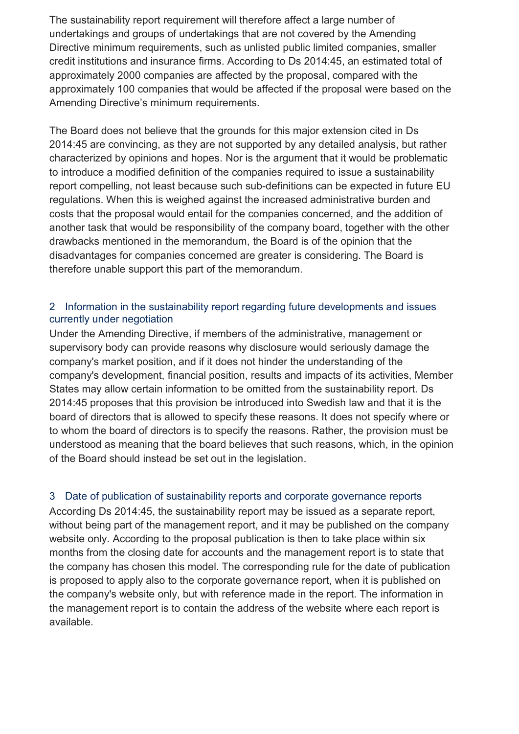The sustainability report requirement will therefore affect a large number of undertakings and groups of undertakings that are not covered by the Amending Directive minimum requirements, such as unlisted public limited companies, smaller credit institutions and insurance firms. According to Ds 2014:45, an estimated total of approximately 2000 companies are affected by the proposal, compared with the approximately 100 companies that would be affected if the proposal were based on the Amending Directive's minimum requirements.

The Board does not believe that the grounds for this major extension cited in Ds 2014:45 are convincing, as they are not supported by any detailed analysis, but rather characterized by opinions and hopes. Nor is the argument that it would be problematic to introduce a modified definition of the companies required to issue a sustainability report compelling, not least because such sub-definitions can be expected in future EU regulations. When this is weighed against the increased administrative burden and costs that the proposal would entail for the companies concerned, and the addition of another task that would be responsibility of the company board, together with the other drawbacks mentioned in the memorandum, the Board is of the opinion that the disadvantages for companies concerned are greater is considering. The Board is therefore unable support this part of the memorandum.

## 2 Information in the sustainability report regarding future developments and issues currently under negotiation

Under the Amending Directive, if members of the administrative, management or supervisory body can provide reasons why disclosure would seriously damage the company's market position, and if it does not hinder the understanding of the company's development, financial position, results and impacts of its activities, Member States may allow certain information to be omitted from the sustainability report. Ds 2014:45 proposes that this provision be introduced into Swedish law and that it is the board of directors that is allowed to specify these reasons. It does not specify where or to whom the board of directors is to specify the reasons. Rather, the provision must be understood as meaning that the board believes that such reasons, which, in the opinion of the Board should instead be set out in the legislation.

# 3 Date of publication of sustainability reports and corporate governance reports

According Ds 2014:45, the sustainability report may be issued as a separate report, without being part of the management report, and it may be published on the company website only. According to the proposal publication is then to take place within six months from the closing date for accounts and the management report is to state that the company has chosen this model. The corresponding rule for the date of publication is proposed to apply also to the corporate governance report, when it is published on the company's website only, but with reference made in the report. The information in the management report is to contain the address of the website where each report is available.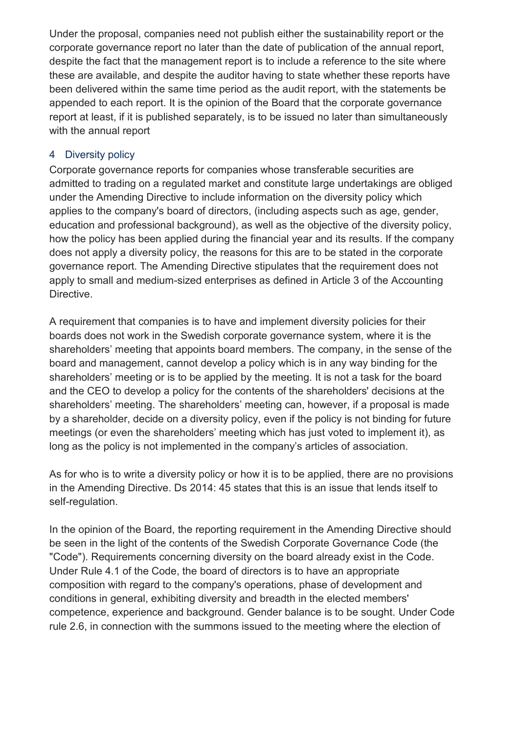Under the proposal, companies need not publish either the sustainability report or the corporate governance report no later than the date of publication of the annual report, despite the fact that the management report is to include a reference to the site where these are available, and despite the auditor having to state whether these reports have been delivered within the same time period as the audit report, with the statements be appended to each report. It is the opinion of the Board that the corporate governance report at least, if it is published separately, is to be issued no later than simultaneously with the annual report

# 4 Diversity policy

Corporate governance reports for companies whose transferable securities are admitted to trading on a regulated market and constitute large undertakings are obliged under the Amending Directive to include information on the diversity policy which applies to the company's board of directors, (including aspects such as age, gender, education and professional background), as well as the objective of the diversity policy, how the policy has been applied during the financial year and its results. If the company does not apply a diversity policy, the reasons for this are to be stated in the corporate governance report. The Amending Directive stipulates that the requirement does not apply to small and medium-sized enterprises as defined in Article 3 of the Accounting Directive.

A requirement that companies is to have and implement diversity policies for their boards does not work in the Swedish corporate governance system, where it is the shareholders' meeting that appoints board members. The company, in the sense of the board and management, cannot develop a policy which is in any way binding for the shareholders' meeting or is to be applied by the meeting. It is not a task for the board and the CEO to develop a policy for the contents of the shareholders' decisions at the shareholders' meeting. The shareholders' meeting can, however, if a proposal is made by a shareholder, decide on a diversity policy, even if the policy is not binding for future meetings (or even the shareholders' meeting which has just voted to implement it), as long as the policy is not implemented in the company's articles of association.

As for who is to write a diversity policy or how it is to be applied, there are no provisions in the Amending Directive. Ds 2014: 45 states that this is an issue that lends itself to self-regulation.

In the opinion of the Board, the reporting requirement in the Amending Directive should be seen in the light of the contents of the Swedish Corporate Governance Code (the "Code"). Requirements concerning diversity on the board already exist in the Code. Under Rule 4.1 of the Code, the board of directors is to have an appropriate composition with regard to the company's operations, phase of development and conditions in general, exhibiting diversity and breadth in the elected members' competence, experience and background. Gender balance is to be sought. Under Code rule 2.6, in connection with the summons issued to the meeting where the election of